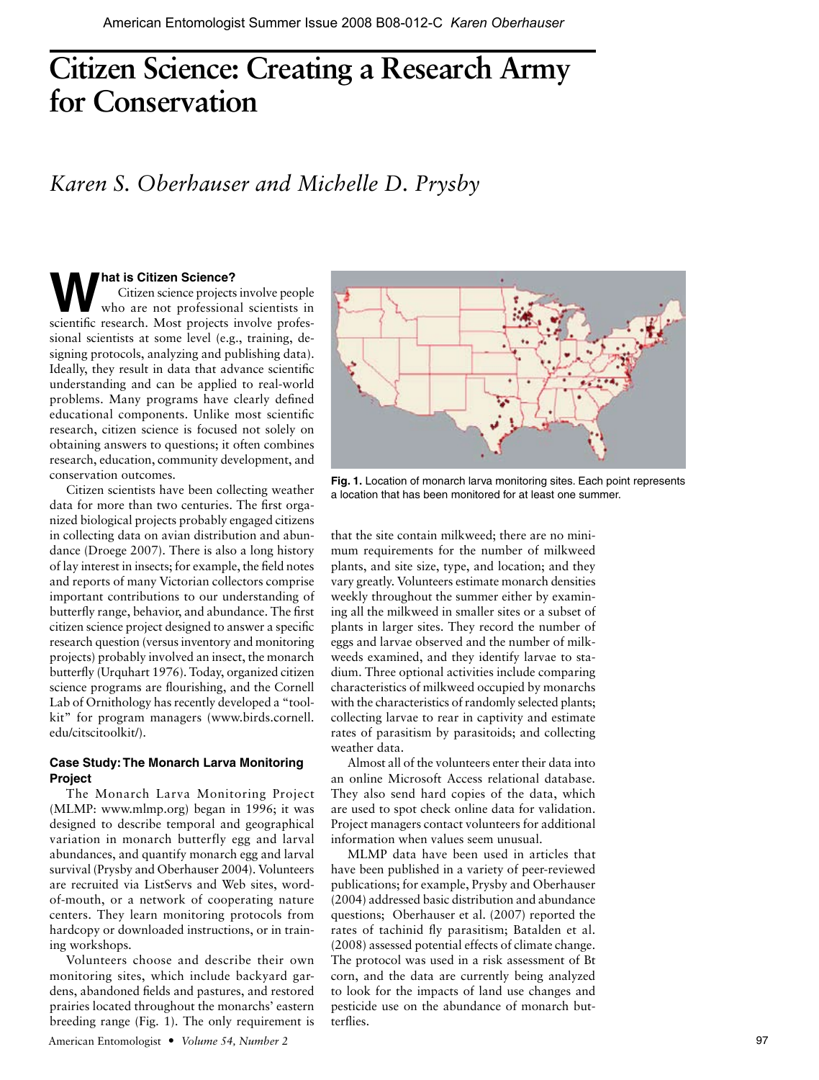# **Citizen Science: Creating a Research Army for Conservation**

# *Karen S. Oberhauser and Michelle D. Prysby*

# **What is Citizen Science?**

Citizen science projects involve people who are not professional scientists in scientific research. Most projects involve professional scientists at some level (e.g., training, designing protocols, analyzing and publishing data). Ideally, they result in data that advance scientific understanding and can be applied to real-world problems. Many programs have clearly defined educational components. Unlike most scientific research, citizen science is focused not solely on obtaining answers to questions; it often combines research, education, community development, and conservation outcomes.

Citizen scientists have been collecting weather data for more than two centuries. The first organized biological projects probably engaged citizens in collecting data on avian distribution and abundance (Droege 2007). There is also a long history of lay interest in insects; for example, the field notes and reports of many Victorian collectors comprise important contributions to our understanding of butterfly range, behavior, and abundance. The first citizen science project designed to answer a specific research question (versus inventory and monitoring projects) probably involved an insect, the monarch butterfly (Urquhart 1976). Today, organized citizen science programs are flourishing, and the Cornell Lab of Ornithology has recently developed a "toolkit" for program managers (www.birds.cornell. edu/citscitoolkit/).

# **Case Study: The Monarch Larva Monitoring Project**

The Monarch Larva Monitoring Project (MLMP: www.mlmp.org) began in 1996; it was designed to describe temporal and geographical variation in monarch butterfly egg and larval abundances, and quantify monarch egg and larval survival (Prysby and Oberhauser 2004). Volunteers are recruited via ListServs and Web sites, wordof-mouth, or a network of cooperating nature centers. They learn monitoring protocols from hardcopy or downloaded instructions, or in training workshops.

Volunteers choose and describe their own monitoring sites, which include backyard gardens, abandoned fields and pastures, and restored prairies located throughout the monarchs' eastern breeding range (Fig. 1). The only requirement is



**Fig. 1.** Location of monarch larva monitoring sites. Each point represents a location that has been monitored for at least one summer.

that the site contain milkweed; there are no minimum requirements for the number of milkweed plants, and site size, type, and location; and they vary greatly. Volunteers estimate monarch densities weekly throughout the summer either by examining all the milkweed in smaller sites or a subset of plants in larger sites. They record the number of eggs and larvae observed and the number of milkweeds examined, and they identify larvae to stadium. Three optional activities include comparing characteristics of milkweed occupied by monarchs with the characteristics of randomly selected plants; collecting larvae to rear in captivity and estimate rates of parasitism by parasitoids; and collecting weather data.

Almost all of the volunteers enter their data into an online Microsoft Access relational database. They also send hard copies of the data, which are used to spot check online data for validation. Project managers contact volunteers for additional information when values seem unusual.

MLMP data have been used in articles that have been published in a variety of peer-reviewed publications; for example, Prysby and Oberhauser (2004) addressed basic distribution and abundance questions; Oberhauser et al. (2007) reported the rates of tachinid fly parasitism; Batalden et al. (2008) assessed potential effects of climate change. The protocol was used in a risk assessment of Bt corn, and the data are currently being analyzed to look for the impacts of land use changes and pesticide use on the abundance of monarch butterflies.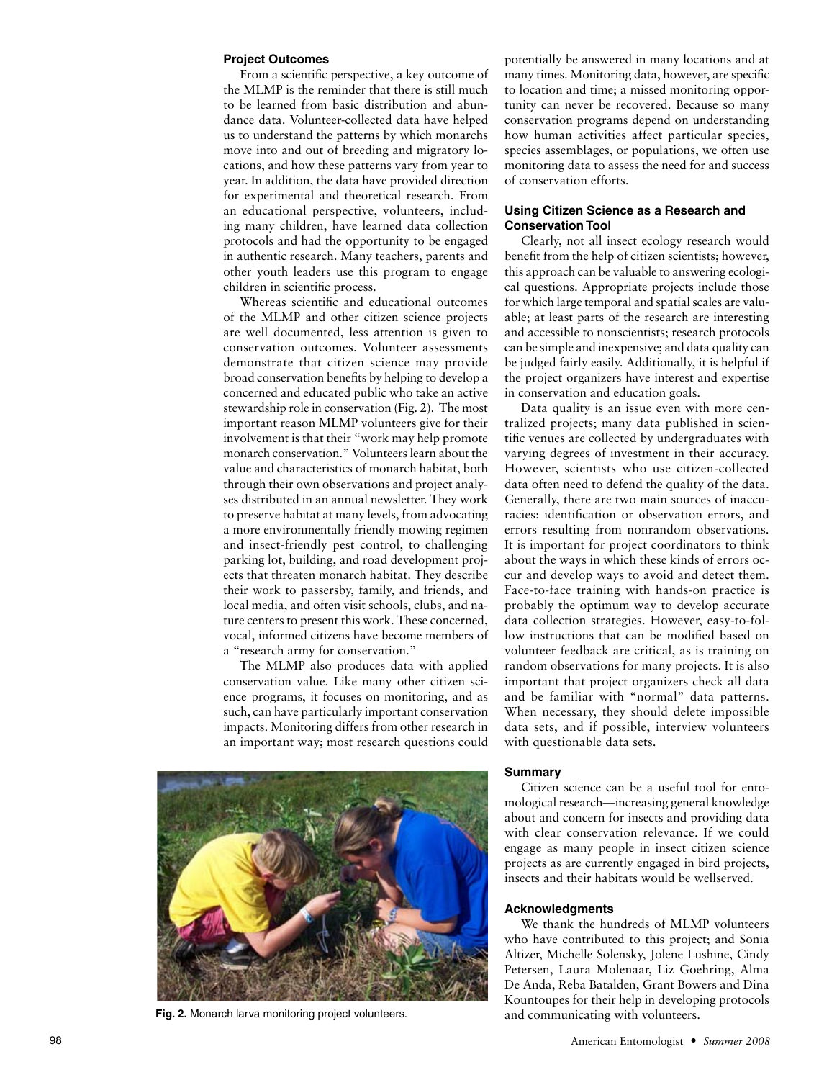### **Project Outcomes**

From a scientific perspective, a key outcome of the MLMP is the reminder that there is still much to be learned from basic distribution and abundance data. Volunteer-collected data have helped us to understand the patterns by which monarchs move into and out of breeding and migratory locations, and how these patterns vary from year to year. In addition, the data have provided direction for experimental and theoretical research. From an educational perspective, volunteers, including many children, have learned data collection protocols and had the opportunity to be engaged in authentic research. Many teachers, parents and other youth leaders use this program to engage children in scientific process.

Whereas scientific and educational outcomes of the MLMP and other citizen science projects are well documented, less attention is given to conservation outcomes. Volunteer assessments demonstrate that citizen science may provide broad conservation benefits by helping to develop a concerned and educated public who take an active stewardship role in conservation (Fig. 2). The most important reason MLMP volunteers give for their involvement is that their "work may help promote monarch conservation." Volunteers learn about the value and characteristics of monarch habitat, both through their own observations and project analyses distributed in an annual newsletter. They work to preserve habitat at many levels, from advocating a more environmentally friendly mowing regimen and insect-friendly pest control, to challenging parking lot, building, and road development projects that threaten monarch habitat. They describe their work to passersby, family, and friends, and local media, and often visit schools, clubs, and nature centers to present this work. These concerned, vocal, informed citizens have become members of a "research army for conservation."

The MLMP also produces data with applied conservation value. Like many other citizen science programs, it focuses on monitoring, and as such, can have particularly important conservation impacts. Monitoring differs from other research in an important way; most research questions could



**Fig. 2.** Monarch larva monitoring project volunteers. **and communicating with volunteers.** 

potentially be answered in many locations and at many times. Monitoring data, however, are specific to location and time; a missed monitoring opportunity can never be recovered. Because so many conservation programs depend on understanding how human activities affect particular species, species assemblages, or populations, we often use monitoring data to assess the need for and success of conservation efforts.

## **Using Citizen Science as a Research and Conservation Tool**

Clearly, not all insect ecology research would benefit from the help of citizen scientists; however, this approach can be valuable to answering ecological questions. Appropriate projects include those for which large temporal and spatial scales are valuable; at least parts of the research are interesting and accessible to nonscientists; research protocols can be simple and inexpensive; and data quality can be judged fairly easily. Additionally, it is helpful if the project organizers have interest and expertise in conservation and education goals.

Data quality is an issue even with more centralized projects; many data published in scientific venues are collected by undergraduates with varying degrees of investment in their accuracy. However, scientists who use citizen-collected data often need to defend the quality of the data. Generally, there are two main sources of inaccuracies: identification or observation errors, and errors resulting from nonrandom observations. It is important for project coordinators to think about the ways in which these kinds of errors occur and develop ways to avoid and detect them. Face-to-face training with hands-on practice is probably the optimum way to develop accurate data collection strategies. However, easy-to-follow instructions that can be modified based on volunteer feedback are critical, as is training on random observations for many projects. It is also important that project organizers check all data and be familiar with "normal" data patterns. When necessary, they should delete impossible data sets, and if possible, interview volunteers with questionable data sets.

#### **Summary**

Citizen science can be a useful tool for entomological research—increasing general knowledge about and concern for insects and providing data with clear conservation relevance. If we could engage as many people in insect citizen science projects as are currently engaged in bird projects, insects and their habitats would be wellserved.

## **Acknowledgments**

We thank the hundreds of MLMP volunteers who have contributed to this project; and Sonia Altizer, Michelle Solensky, Jolene Lushine, Cindy Petersen, Laura Molenaar, Liz Goehring, Alma De Anda, Reba Batalden, Grant Bowers and Dina Kountoupes for their help in developing protocols